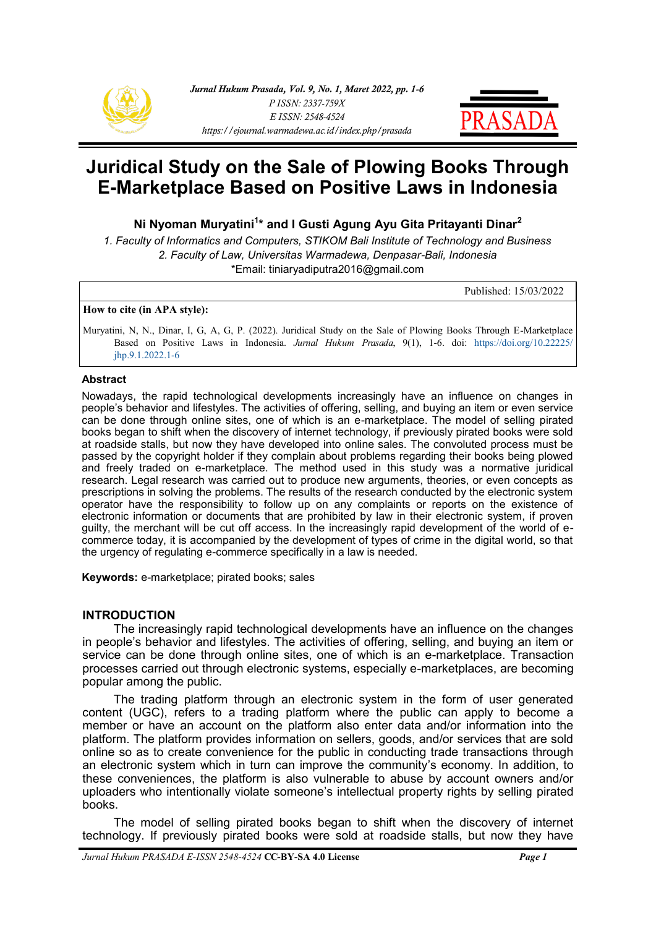



# **Juridical Study on the Sale of Plowing Books Through E-Marketplace Based on Positive Laws in Indonesia**

**Ni Nyoman Muryatini<sup>1</sup> \* and I Gusti Agung Ayu Gita Pritayanti Dinar<sup>2</sup>**

*1. Faculty of Informatics and Computers, STIKOM Bali Institute of Technology and Business 2. Faculty of Law, Universitas Warmadewa, Denpasar-Bali, Indonesia* \*Email: [tiniaryadiputra2016@gmail.com](mailto:tiniaryadiputra2016@gmail.com) 

Published: 15/03/2022

#### **How to cite (in APA style):**

Muryatini, N, N., Dinar, I, G, A, G, P. (2022). Juridical Study on the Sale of Plowing Books Through E-Marketplace Based on Positive Laws in Indonesia. *Jurnal Hukum Prasada*, 9(1), 1-6. doi: [https://doi.org/10.22225/](https://ejournal.warmadewa.ac.id/index.php/prasada/article/view/4756) [jhp.9.1.2022.1](https://ejournal.warmadewa.ac.id/index.php/prasada/article/view/4756)-6

### **Abstract**

Nowadays, the rapid technological developments increasingly have an influence on changes in people's behavior and lifestyles. The activities of offering, selling, and buying an item or even service can be done through online sites, one of which is an e-marketplace. The model of selling pirated books began to shift when the discovery of internet technology, if previously pirated books were sold at roadside stalls, but now they have developed into online sales. The convoluted process must be passed by the copyright holder if they complain about problems regarding their books being plowed and freely traded on e-marketplace. The method used in this study was a normative juridical research. Legal research was carried out to produce new arguments, theories, or even concepts as prescriptions in solving the problems. The results of the research conducted by the electronic system operator have the responsibility to follow up on any complaints or reports on the existence of electronic information or documents that are prohibited by law in their electronic system, if proven guilty, the merchant will be cut off access. In the increasingly rapid development of the world of ecommerce today, it is accompanied by the development of types of crime in the digital world, so that the urgency of regulating e-commerce specifically in a law is needed.

**Keywords:** e-marketplace; pirated books; sales

### **INTRODUCTION**

The increasingly rapid technological developments have an influence on the changes in people's behavior and lifestyles. The activities of offering, selling, and buying an item or service can be done through online sites, one of which is an e-marketplace. Transaction processes carried out through electronic systems, especially e-marketplaces, are becoming popular among the public.

The trading platform through an electronic system in the form of user generated content (UGC), refers to a trading platform where the public can apply to become a member or have an account on the platform also enter data and/or information into the platform. The platform provides information on sellers, goods, and/or services that are sold online so as to create convenience for the public in conducting trade transactions through an electronic system which in turn can improve the community's economy. In addition, to these conveniences, the platform is also vulnerable to abuse by account owners and/or uploaders who intentionally violate someone's intellectual property rights by selling pirated books.

The model of selling pirated books began to shift when the discovery of internet technology. If previously pirated books were sold at roadside stalls, but now they have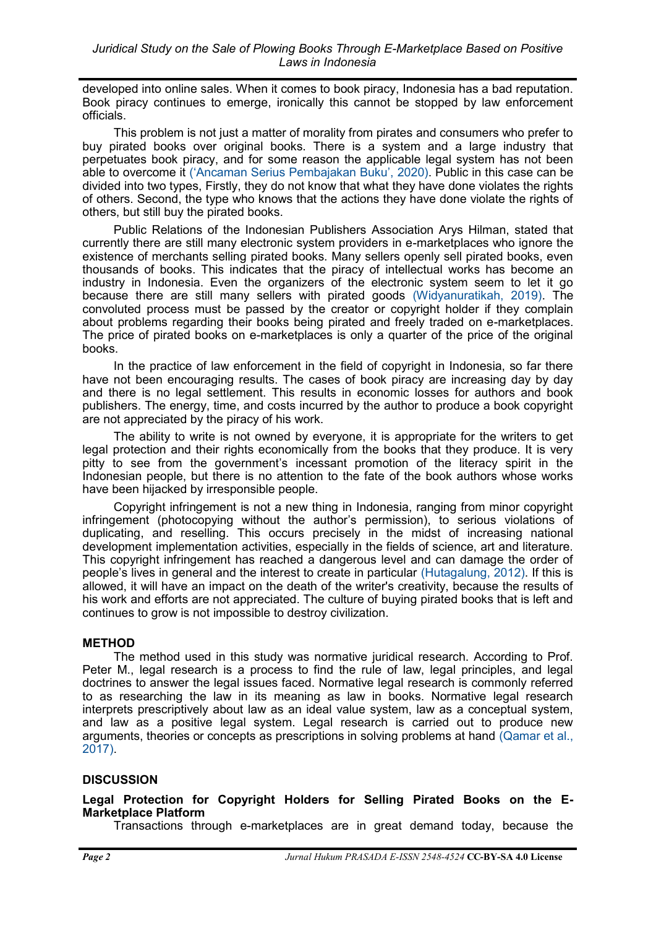developed into online sales. When it comes to book piracy, Indonesia has a bad reputation. Book piracy continues to emerge, ironically this cannot be stopped by law enforcement officials.

This problem is not just a matter of morality from pirates and consumers who prefer to buy pirated books over original books. There is a system and a large industry that perpetuates book piracy, and for some reason the applicable legal system has not been able to overcome it ('[Ancaman Serius Pembajakan Buku](#page-5-0)', 2020). Public in this case can be divided into two types, Firstly, they do not know that what they have done violates the rights of others. Second, the type who knows that the actions they have done violate the rights of others, but still buy the pirated books.

Public Relations of the Indonesian Publishers Association Arys Hilman, stated that currently there are still many electronic system providers in e-marketplaces who ignore the existence of merchants selling pirated books. Many sellers openly sell pirated books, even thousands of books. This indicates that the piracy of intellectual works has become an industry in Indonesia. Even the organizers of the electronic system seem to let it go because there are still many sellers with pirated goods [\(Widyanuratikah, 2019\).](#page-5-0) The convoluted process must be passed by the creator or copyright holder if they complain about problems regarding their books being pirated and freely traded on e-marketplaces. The price of pirated books on e-marketplaces is only a quarter of the price of the original books.

In the practice of law enforcement in the field of copyright in Indonesia, so far there have not been encouraging results. The cases of book piracy are increasing day by day and there is no legal settlement. This results in economic losses for authors and book publishers. The energy, time, and costs incurred by the author to produce a book copyright are not appreciated by the piracy of his work.

The ability to write is not owned by everyone, it is appropriate for the writers to get legal protection and their rights economically from the books that they produce. It is very pitty to see from the government's incessant promotion of the literacy spirit in the Indonesian people, but there is no attention to the fate of the book authors whose works have been hijacked by irresponsible people.

Copyright infringement is not a new thing in Indonesia, ranging from minor copyright infringement (photocopying without the author's permission), to serious violations of duplicating, and reselling. This occurs precisely in the midst of increasing national development implementation activities, especially in the fields of science, art and literature. This copyright infringement has reached a dangerous level and can damage the order of people's lives in general and the interest to create in particular [\(Hutagalung, 2012\).](#page-5-0) If this is allowed, it will have an impact on the death of the writer's creativity, because the results of his work and efforts are not appreciated. The culture of buying pirated books that is left and continues to grow is not impossible to destroy civilization.

## **METHOD**

The method used in this study was normative juridical research. According to Prof. Peter M., legal research is a process to find the rule of law, legal principles, and legal doctrines to answer the legal issues faced. Normative legal research is commonly referred to as researching the law in its meaning as law in books. Normative legal research interprets prescriptively about law as an ideal value system, law as a conceptual system, and law as a positive legal system. Legal research is carried out to produce new arguments, theories or concepts as prescriptions in solving problems at hand [\(Qamar et al.,](#page-5-0)  [2017\).](#page-5-0)

## **DISCUSSION**

**Legal Protection for Copyright Holders for Selling Pirated Books on the E-Marketplace Platform**

Transactions through e-marketplaces are in great demand today, because the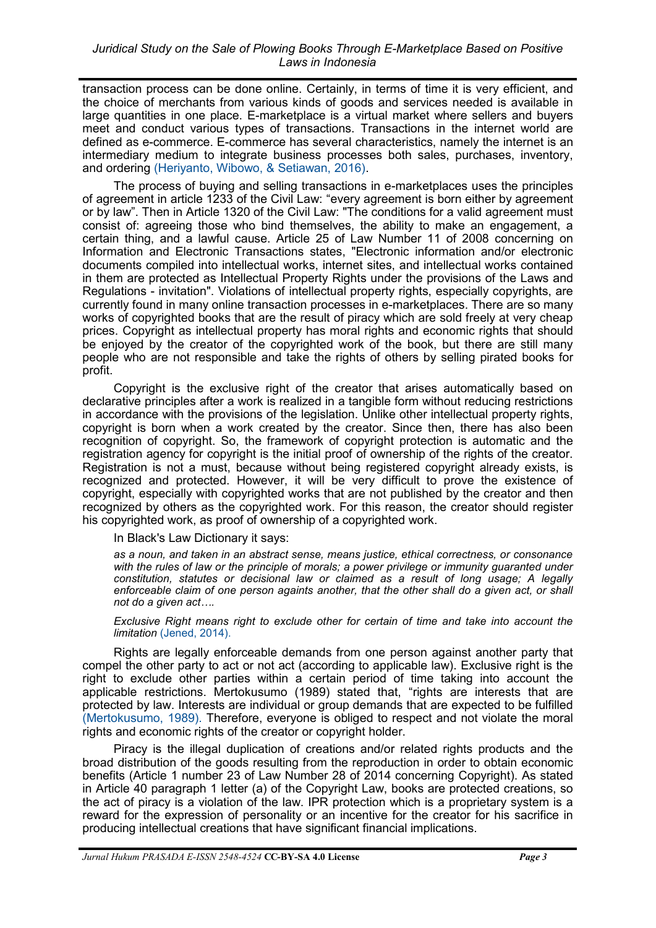transaction process can be done online. Certainly, in terms of time it is very efficient, and the choice of merchants from various kinds of goods and services needed is available in large quantities in one place. E-marketplace is a virtual market where sellers and buyers meet and conduct various types of transactions. Transactions in the internet world are defined as e-commerce. E-commerce has several characteristics, namely the internet is an intermediary medium to integrate business processes both sales, purchases, inventory, and ordering [\(Heriyanto, Wibowo, & Setiawan, 2016\).](#page-5-0)

The process of buying and selling transactions in e-marketplaces uses the principles of agreement in article 1233 of the Civil Law: "every agreement is born either by agreement or by law". Then in Article 1320 of the Civil Law: "The conditions for a valid agreement must consist of: agreeing those who bind themselves, the ability to make an engagement, a certain thing, and a lawful cause. Article 25 of Law Number 11 of 2008 concerning on Information and Electronic Transactions states, "Electronic information and/or electronic documents compiled into intellectual works, internet sites, and intellectual works contained in them are protected as Intellectual Property Rights under the provisions of the Laws and Regulations - invitation". Violations of intellectual property rights, especially copyrights, are currently found in many online transaction processes in e-marketplaces. There are so many works of copyrighted books that are the result of piracy which are sold freely at very cheap prices. Copyright as intellectual property has moral rights and economic rights that should be enjoyed by the creator of the copyrighted work of the book, but there are still many people who are not responsible and take the rights of others by selling pirated books for profit.

Copyright is the exclusive right of the creator that arises automatically based on declarative principles after a work is realized in a tangible form without reducing restrictions in accordance with the provisions of the legislation. Unlike other intellectual property rights, copyright is born when a work created by the creator. Since then, there has also been recognition of copyright. So, the framework of copyright protection is automatic and the registration agency for copyright is the initial proof of ownership of the rights of the creator. Registration is not a must, because without being registered copyright already exists, is recognized and protected. However, it will be very difficult to prove the existence of copyright, especially with copyrighted works that are not published by the creator and then recognized by others as the copyrighted work. For this reason, the creator should register his copyrighted work, as proof of ownership of a copyrighted work.

In Black's Law Dictionary it says:

*as a noun, and taken in an abstract sense, means justice, ethical correctness, or consonance with the rules of law or the principle of morals; a power privilege or immunity guaranted under constitution, statutes or decisional law or claimed as a result of long usage; A legally enforceable claim of one person againts another, that the other shall do a given act, or shall not do a given act….*

*Exclusive Right means right to exclude other for certain of time and take into account the limitation* [\(Jened, 2014\).](#page-5-0)

Rights are legally enforceable demands from one person against another party that compel the other party to act or not act (according to applicable law). Exclusive right is the right to exclude other parties within a certain period of time taking into account the applicable restrictions. Mertokusumo (1989) stated that, "rights are interests that are protected by law. Interests are individual or group demands that are expected to be fulfilled [\(Mertokusumo, 1989\).](#page-5-0) Therefore, everyone is obliged to respect and not violate the moral rights and economic rights of the creator or copyright holder.

Piracy is the illegal duplication of creations and/or related rights products and the broad distribution of the goods resulting from the reproduction in order to obtain economic benefits (Article 1 number 23 of Law Number 28 of 2014 concerning Copyright). As stated in Article 40 paragraph 1 letter (a) of the Copyright Law, books are protected creations, so the act of piracy is a violation of the law. IPR protection which is a proprietary system is a reward for the expression of personality or an incentive for the creator for his sacrifice in producing intellectual creations that have significant financial implications.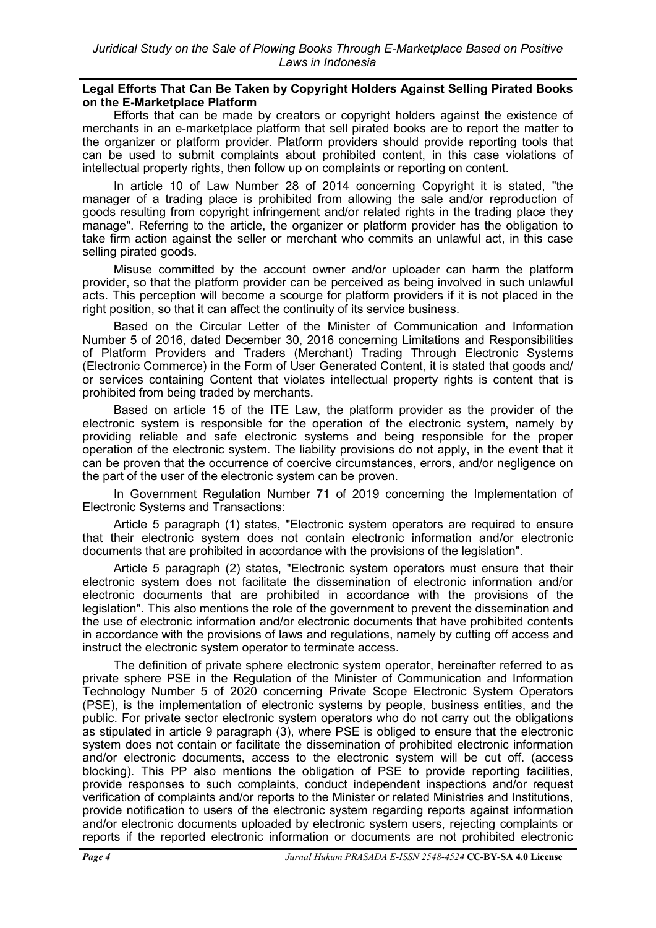### **Legal Efforts That Can Be Taken by Copyright Holders Against Selling Pirated Books on the E-Marketplace Platform**

Efforts that can be made by creators or copyright holders against the existence of merchants in an e-marketplace platform that sell pirated books are to report the matter to the organizer or platform provider. Platform providers should provide reporting tools that can be used to submit complaints about prohibited content, in this case violations of intellectual property rights, then follow up on complaints or reporting on content.

In article 10 of Law Number 28 of 2014 concerning Copyright it is stated, "the manager of a trading place is prohibited from allowing the sale and/or reproduction of goods resulting from copyright infringement and/or related rights in the trading place they manage". Referring to the article, the organizer or platform provider has the obligation to take firm action against the seller or merchant who commits an unlawful act, in this case selling pirated goods.

Misuse committed by the account owner and/or uploader can harm the platform provider, so that the platform provider can be perceived as being involved in such unlawful acts. This perception will become a scourge for platform providers if it is not placed in the right position, so that it can affect the continuity of its service business.

Based on the Circular Letter of the Minister of Communication and Information Number 5 of 2016, dated December 30, 2016 concerning Limitations and Responsibilities of Platform Providers and Traders (Merchant) Trading Through Electronic Systems (Electronic Commerce) in the Form of User Generated Content, it is stated that goods and/ or services containing Content that violates intellectual property rights is content that is prohibited from being traded by merchants.

Based on article 15 of the ITE Law, the platform provider as the provider of the electronic system is responsible for the operation of the electronic system, namely by providing reliable and safe electronic systems and being responsible for the proper operation of the electronic system. The liability provisions do not apply, in the event that it can be proven that the occurrence of coercive circumstances, errors, and/or negligence on the part of the user of the electronic system can be proven.

In Government Regulation Number 71 of 2019 concerning the Implementation of Electronic Systems and Transactions:

Article 5 paragraph (1) states, "Electronic system operators are required to ensure that their electronic system does not contain electronic information and/or electronic documents that are prohibited in accordance with the provisions of the legislation".

Article 5 paragraph (2) states, "Electronic system operators must ensure that their electronic system does not facilitate the dissemination of electronic information and/or electronic documents that are prohibited in accordance with the provisions of the legislation". This also mentions the role of the government to prevent the dissemination and the use of electronic information and/or electronic documents that have prohibited contents in accordance with the provisions of laws and regulations, namely by cutting off access and instruct the electronic system operator to terminate access.

The definition of private sphere electronic system operator, hereinafter referred to as private sphere PSE in the Regulation of the Minister of Communication and Information Technology Number 5 of 2020 concerning Private Scope Electronic System Operators (PSE), is the implementation of electronic systems by people, business entities, and the public. For private sector electronic system operators who do not carry out the obligations as stipulated in article 9 paragraph (3), where PSE is obliged to ensure that the electronic system does not contain or facilitate the dissemination of prohibited electronic information and/or electronic documents, access to the electronic system will be cut off. (access blocking). This PP also mentions the obligation of PSE to provide reporting facilities, provide responses to such complaints, conduct independent inspections and/or request verification of complaints and/or reports to the Minister or related Ministries and Institutions, provide notification to users of the electronic system regarding reports against information and/or electronic documents uploaded by electronic system users, rejecting complaints or reports if the reported electronic information or documents are not prohibited electronic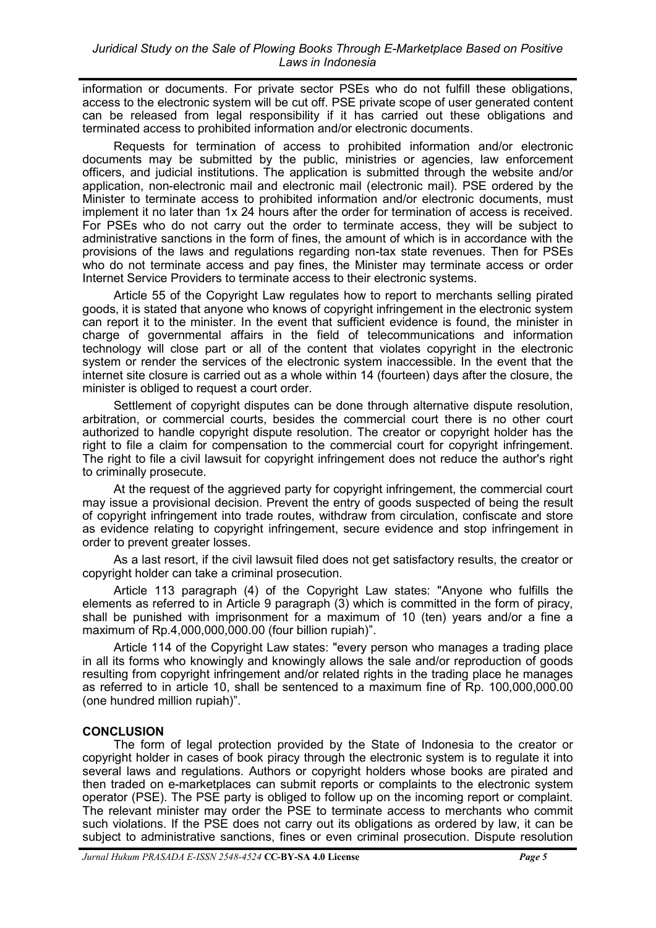information or documents. For private sector PSEs who do not fulfill these obligations, access to the electronic system will be cut off. PSE private scope of user generated content can be released from legal responsibility if it has carried out these obligations and terminated access to prohibited information and/or electronic documents.

Requests for termination of access to prohibited information and/or electronic documents may be submitted by the public, ministries or agencies, law enforcement officers, and judicial institutions. The application is submitted through the website and/or application, non-electronic mail and electronic mail (electronic mail). PSE ordered by the Minister to terminate access to prohibited information and/or electronic documents, must implement it no later than 1x 24 hours after the order for termination of access is received. For PSEs who do not carry out the order to terminate access, they will be subject to administrative sanctions in the form of fines, the amount of which is in accordance with the provisions of the laws and regulations regarding non-tax state revenues. Then for PSEs who do not terminate access and pay fines, the Minister may terminate access or order Internet Service Providers to terminate access to their electronic systems.

Article 55 of the Copyright Law regulates how to report to merchants selling pirated goods, it is stated that anyone who knows of copyright infringement in the electronic system can report it to the minister. In the event that sufficient evidence is found, the minister in charge of governmental affairs in the field of telecommunications and information technology will close part or all of the content that violates copyright in the electronic system or render the services of the electronic system inaccessible. In the event that the internet site closure is carried out as a whole within 14 (fourteen) days after the closure, the minister is obliged to request a court order.

Settlement of copyright disputes can be done through alternative dispute resolution, arbitration, or commercial courts, besides the commercial court there is no other court authorized to handle copyright dispute resolution. The creator or copyright holder has the right to file a claim for compensation to the commercial court for copyright infringement. The right to file a civil lawsuit for copyright infringement does not reduce the author's right to criminally prosecute.

At the request of the aggrieved party for copyright infringement, the commercial court may issue a provisional decision. Prevent the entry of goods suspected of being the result of copyright infringement into trade routes, withdraw from circulation, confiscate and store as evidence relating to copyright infringement, secure evidence and stop infringement in order to prevent greater losses.

As a last resort, if the civil lawsuit filed does not get satisfactory results, the creator or copyright holder can take a criminal prosecution.

Article 113 paragraph (4) of the Copyright Law states: "Anyone who fulfills the elements as referred to in Article 9 paragraph (3) which is committed in the form of piracy, shall be punished with imprisonment for a maximum of 10 (ten) years and/or a fine a maximum of Rp.4,000,000,000.00 (four billion rupiah)".

Article 114 of the Copyright Law states: "every person who manages a trading place in all its forms who knowingly and knowingly allows the sale and/or reproduction of goods resulting from copyright infringement and/or related rights in the trading place he manages as referred to in article 10, shall be sentenced to a maximum fine of Rp. 100,000,000.00 (one hundred million rupiah)".

## **CONCLUSION**

The form of legal protection provided by the State of Indonesia to the creator or copyright holder in cases of book piracy through the electronic system is to regulate it into several laws and regulations. Authors or copyright holders whose books are pirated and then traded on e-marketplaces can submit reports or complaints to the electronic system operator (PSE). The PSE party is obliged to follow up on the incoming report or complaint. The relevant minister may order the PSE to terminate access to merchants who commit such violations. If the PSE does not carry out its obligations as ordered by law, it can be subject to administrative sanctions, fines or even criminal prosecution. Dispute resolution